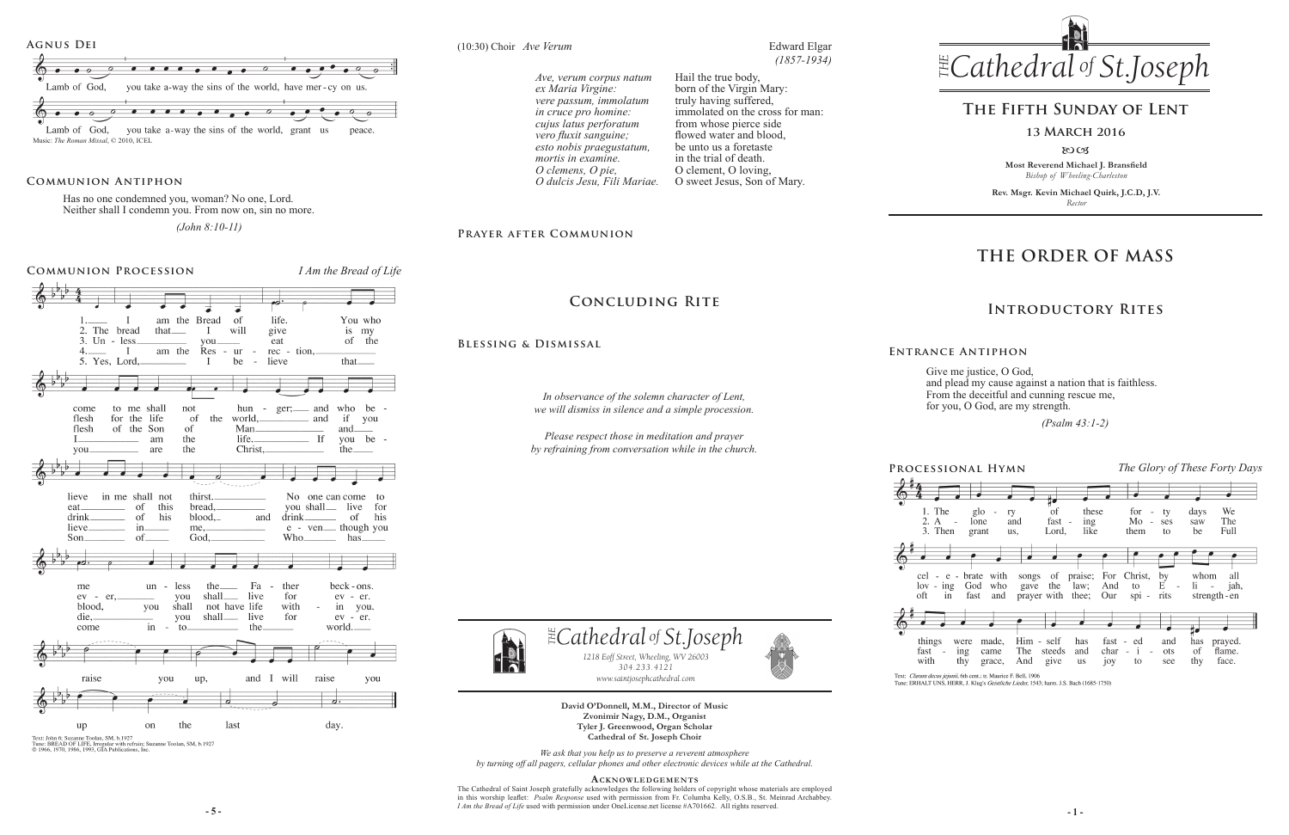# **The Fifth Sunday of Lent**

**13 March 2016**

8003

**Most Reverend Michael J. Bransfield** *Bishop of Wheeling-Charleston*

**Rev. Msgr. Kevin Michael Quirk, J.C.D, J.V.** *Rector*



Give me justice, O God, and plead my cause against a nation that is faithless. From the deceitful and cunning rescue me, for you, O God, are my strength.

 *(Psalm 43:1-2)* 

## **Concluding Rite**

**5** - **5** - **1** Am the Bread of Life used with permission under OneLicense.net license #A701662. All rights reserved. The Cathedral of Saint Joseph gratefully acknowledges the following holders of copyright whose materials are employed in this worship leaflet: *Psalm Response* used with permission from Fr. Columba Kelly, O.S.B., St. Meinrad Archabbey.

**Tyler J. Greenwood, Organ Scholar Cathedral of St. Joseph Choir**

*We ask that you help us to preserve a reverent atmosphere by turning off all pagers, cellular phones and other electronic devices while at the Cathedral.*

### **Acknowledgements**

**David O'Donnell, M.M., Director of Music Zvonimir Nagy, D.M., Organist** *www.saintjosephcathedral.com www.saintjosephcathedral.com*

# **THE ORDER OF MASS**

**Entrance Antiphon**

## **Introductory Rites**



 $\overline{\mathbb{A}}$ 

*1218 Eoff Street, Wheeling, WV 26003 304.233.4121 304.233.4121*

*1218 Eoff Street, Wheeling, WV 26003 Cathedral St THE of .Joseph*

**Processional Hymn**

## **Blessing & Dismissal**

*The Glory of These Forty Days*



Text: *Clarum decus jejunii*, 6th cent.; tr. Maurice F. Bell, 1906<br>Tune: ERHALT UNS, HERR, J. Klug's *Geistliche Lieder*, 1543; harm. J.S. Bach (1685-1750)



*In observance of the solemn character of Lent, we will dismiss in silence and a simple procession.*

*Please respect those in meditation and prayer by refraining from conversation while in the church.*

## **Communion Antiphon**

Has no one condemned you, woman? No one, Lord. Neither shall I condemn you. From now on, sin no more.

 *(John 8:10-11)*

## **Communion Procession** *I Am the Bread of Life*



Text: John 6; Suzanne Toolan, SM, b.1927<br>Tune: BREAD OF LIFE, Irregular with refrain; Suzanne Toolan, SM, b.1927<br>© 1966, 1970, 1986, 1993, GIA Publications, Inc.

## **Prayer after Communion**

(10:30) Choir *Ave Verum* Edward Elgar

*(1857-1934)*

*Ave, verum corpus natum ex Maria Virgine: vere passum, immolatum in cruce pro homine: cujus latus perforatum vero fluxit sanguine; esto nobis praegustatum, mortis in examine. O clemens, O pie, O dulcis Jesu, Fili Mariae.*

Hail the true body, born of the Virgin Mary: truly having suffered, immolated on the cross for man: from whose pierce side flowed water and blood, be unto us a foretaste in the trial of death. O clement, O loving, O sweet Jesus, Son of Mary.